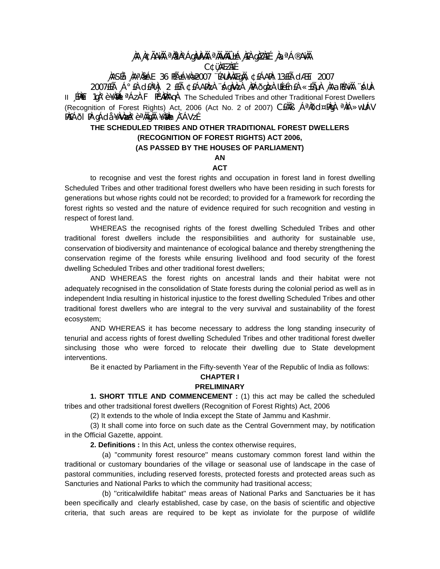## **¸ÀA¸À¢ÃAiÀÄ ªÀåªÀºÁgÀUÀ¼ÀÄ ªÀÄvÀÄÛ ±Á¸À£À gÀZÀ£É ¸ÀaªÁ®AiÀÄ C¢ü¸ÀÆZÀ£É**

## **¸ÀASÉå: ¸ÀAªÀå±ÁE 36 PÉñÁ¥Àæ 2007 ¨ÉAUÀ¼ÀÆgÀÄ, ¢£ÁAPÀ: 13£Éà dÆ£ï 2007**

2007£Éà ¸Á°£À d£ÀªÀj 2 £Éà ¢£ÁAPÀzÀ ¨sÁgÀvÀzÀ ¸ÀPÁðgÀzÀ UÉeÉn£À «±ÉõÀ ¸ÀAaPÉAiÀÄ ¨sÁUÀ-II 〔EMÈi 1gŰè ¥AMAL<sup>a</sup>ÁzÀ F PɼAMAqÀ The Scheduled Tribes and other Traditional Forest Dwellers (Recognition of Forest Rights) Act, 2006 (Act No. 2 of 2007) C $\hat{H}$ AB  $\hat{A}$ <sup>a</sup> $\hat{A}$ d $\alpha$ <sup>a</sup> $\hat{A}$ i $\hat{A} \gg$ wll $\hat{A}$ V PÀ£ÁðI PÀ gÁdå ¥ÀvÀæÀ°è ªÀÄgÀÄ ¥À̀₪h¸À¯ÁVzÉ

# **THE SCHEDULED TRIBES AND OTHER TRADITIONAL FOREST DWELLERS (RECOGNITION OF FOREST RIGHTS) ACT 2006,**

#### **(AS PASSED BY THE HOUSES OF PARLIAMENT)**

## **AN**

## **ACT**

 to recognise and vest the forest rights and occupation in forest land in forest dwelling Scheduled Tribes and other traditional forest dwellers who have been residing in such forests for generations but whose rights could not be recorded; to provided for a framework for recording the forest rights so vested and the nature of evidence required for such recognition and vesting in respect of forest land.

 WHEREAS the recognised rights of the forest dwelling Scheduled Tribes and other traditional forest dwellers include the responsibilities and authority for sustainable use, conservation of biodiversity and maintenance of ecological balance and thereby strengthening the conservation regime of the forests while ensuring livelihood and food security of the forest dwelling Scheduled Tribes and other traditional forest dwellers;

 AND WHEREAS the forest rights on ancestral lands and their habitat were not adequately recognised in the consolidation of State forests during the colonial period as well as in independent India resulting in historical injustice to the forest dwelling Scheduled Tribes and other traditional forest dwellers who are integral to the very survival and sustainability of the forest ecosystem;

 AND WHEREAS it has become necessary to address the long standing insecurity of tenurial and access rights of forest dwelling Scheduled Tribes and other traditional forest dweller sinclusing those who were forced to relocate their dwelling due to State development interventions.

Be it enacted by Parliament in the Fifty-seventh Year of the Republic of India as follows:

# **CHAPTER I**

### **PRELIMINARY**

 **1. SHORT TITLE AND COMMENCEMENT :** (1) this act may be called the scheduled tribes and other tradsitional forest dwellers (Recognition of Forest Rights) Act, 2006

(2) It extends to the whole of India except the State of Jammu and Kashmir.

 (3) It shall come into force on such date as the Central Government may, by notification in the Official Gazette, appoint.

**2. Definitions :** In this Act, unless the contex otherwise requires,

 (a) ''community forest resource'' means customary common forest land within the traditional or customary boundaries of the village or seasonal use of landscape in the case of pastoral communities, including reserved forests, protected forests and protected areas such as Sancturies and National Parks to which the community had trasitional access;

 (b) ''criticalwildlife habitat'' meas areas of National Parks and Sanctuaries be it has been specifically and clearly established, case by case, on the basis of scientific and objective criteria, that such areas are required to be kept as inviolate for the purpose of wildlife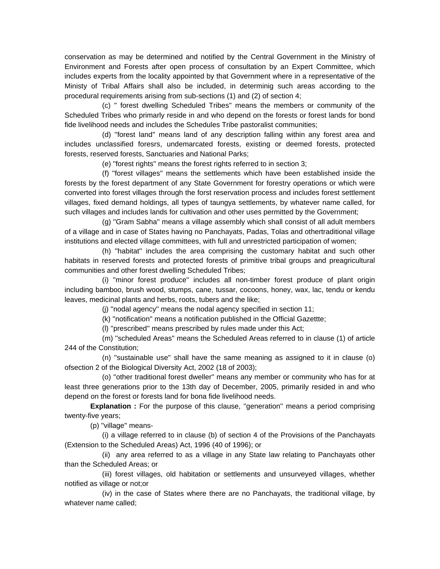conservation as may be determined and notified by the Central Government in the Ministry of Environment and Forests after open process of consultation by an Expert Committee, which includes experts from the locality appointed by that Government where in a representative of the Ministy of Tribal Affairs shall also be included, in determinig such areas according to the procedural requirements arising from sub-sections (1) and (2) of section 4;

 (c) '' forest dwelling Scheduled Tribes'' means the members or community of the Scheduled Tribes who primarly reside in and who depend on the forests or forest lands for bond fide livelihood needs and includes the Schedules Tribe pastoralist communities;

 (d) ''forest land'' means land of any description falling within any forest area and includes unclassified foresrs, undemarcated forests, existing or deemed forests, protected forests, reserved forests, Sanctuaries and National Parks;

(e) ''forest rights'' means the forest rights referred to in section 3;

 (f) ''forest villages'' means the settlements which have been established inside the forests by the forest department of any State Government for forestry operations or which were converted into forest villages through the forst reservation process and includes forest settlement villages, fixed demand holdings, all types of taungya settlements, by whatever name called, for such villages and includes lands for cultivation and other uses permitted by the Government;

 (g) ''Gram Sabha'' means a village assembly which shall consist of all adult members of a village and in case of States having no Panchayats, Padas, Tolas and othertraditional village institutions and elected village committees, with full and unrestricted participation of women;

 (h) ''habitat'' includes the area comprising the customary habitat and such other habitats in reserved forests and protected forests of primitive tribal groups and preagricultural communities and other forest dwelling Scheduled Tribes;

 (i) ''minor forest produce'' includes all non-timber forest produce of plant origin including bamboo, brush wood, stumps, cane, tussar, cocoons, honey, wax, lac, tendu or kendu leaves, medicinal plants and herbs, roots, tubers and the like;

(j) ''nodal agency'' means the nodal agency specified in section 11;

(k) ''notification'' means a notification published in the Official Gazettte;

(l) ''prescribed'' means prescribed by rules made under this Act;

 (m) ''scheduled Areas'' means the Scheduled Areas referred to in clause (1) of article 244 of the Constitution;

 (n) ''sustainable use'' shall have the same meaning as assigned to it in clause (o) ofsection 2 of the Biological Diversity Act, 2002 (18 of 2003);

 (o) ''other traditional forest dweller'' means any member or community who has for at least three generations prior to the 13th day of December, 2005, primarily resided in and who depend on the forest or forests land for bona fide livelihood needs.

**Explanation :** For the purpose of this clause, ''generation'' means a period comprising twenty-five years;

(p) ''village'' means-

 (i) a village referred to in clause (b) of section 4 of the Provisions of the Panchayats (Extension to the Scheduled Areas) Act, 1996 (40 of 1996); or

 (ii) any area referred to as a village in any State law relating to Panchayats other than the Scheduled Areas; or

 (iii) forest villages, old habitation or settlements and unsurveyed villages, whether notified as village or not;or

 (iv) in the case of States where there are no Panchayats, the traditional village, by whatever name called;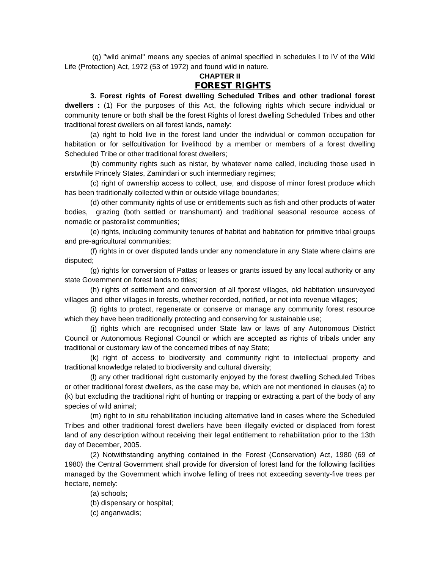(q) ''wild animal'' means any species of animal specified in schedules I to IV of the Wild Life (Protection) Act, 1972 (53 of 1972) and found wild in nature.

## **CHAPTER II FOREST RIGHTS**

 **3. Forest rights of Forest dwelling Scheduled Tribes and other tradional forest dwellers :** (1) For the purposes of this Act, the following rights which secure individual or community tenure or both shall be the forest Rights of forest dwelling Scheduled Tribes and other traditional forest dwellers on all forest lands, namely:

 (a) right to hold live in the forest land under the individual or common occupation for habitation or for selfcultivation for livelihood by a member or members of a forest dwelling Scheduled Tribe or other traditional forest dwellers;

 (b) community rights such as nistar, by whatever name called, including those used in erstwhile Princely States, Zamindari or such intermediary regimes;

 (c) right of ownership access to collect, use, and dispose of minor forest produce which has been traditionally collected within or outside village boundaries;

 (d) other community rights of use or entitlements such as fish and other products of water bodies, grazing (both settled or transhumant) and traditional seasonal resource access of nomadic or pastoralist communities;

 (e) rights, including community tenures of habitat and habitation for primitive tribal groups and pre-agricultural communities;

 (f) rights in or over disputed lands under any nomenclature in any State where claims are disputed;

 (g) rights for conversion of Pattas or leases or grants issued by any local authority or any state Government on forest lands to titles;

 (h) rights of settlement and conversion of all fporest villages, old habitation unsurveyed villages and other villages in forests, whether recorded, notified, or not into revenue villages;

 (i) rights to protect, regenerate or conserve or manage any community forest resource which they have been traditionally protecting and conserving for sustainable use;

 (j) rights which are recognised under State law or laws of any Autonomous District Council or Autonomous Regional Council or which are accepted as rights of tribals under any traditional or customary law of the concerned tribes of nay State;

 (k) right of access to biodiversity and community right to intellectual property and traditional knowledge related to biodiversity and cultural diversity;

 (l) any other traditional right customarily enjoyed by the forest dwelling Scheduled Tribes or other traditional forest dwellers, as the case may be, which are not mentioned in clauses (a) to (k) but excluding the traditional right of hunting or trapping or extracting a part of the body of any species of wild animal;

 (m) right to in situ rehabilitation including alternative land in cases where the Scheduled Tribes and other traditional forest dwellers have been illegally evicted or displaced from forest land of any description without receiving their legal entitlement to rehabilitation prior to the 13th day of December, 2005.

 (2) Notwithstanding anything contained in the Forest (Conservation) Act, 1980 (69 of 1980) the Central Government shall provide for diversion of forest land for the following facilities managed by the Government which involve felling of trees not exceeding seventy-five trees per hectare, nemely:

(a) schools;

(b) dispensary or hospital;

(c) anganwadis;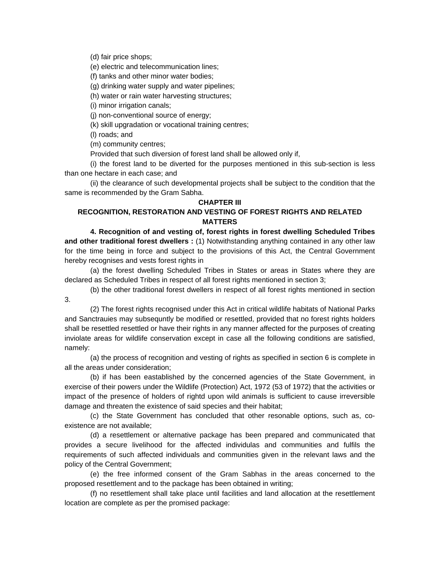(d) fair price shops;

(e) electric and telecommunication lines;

(f) tanks and other minor water bodies;

(g) drinking water supply and water pipelines;

(h) water or rain water harvesting structures;

(i) minor irrigation canals;

(j) non-conventional source of energy;

(k) skill upgradation or vocational training centres;

(l) roads; and

(m) community centres;

Provided that such diversion of forest land shall be allowed only if,

 (i) the forest land to be diverted for the purposes mentioned in this sub-section is less than one hectare in each case; and

 (ii) the clearance of such developmental projects shall be subject to the condition that the same is recommended by the Gram Sabha.

#### **CHAPTER III**

## **RECOGNITION, RESTORATION AND VESTING OF FOREST RIGHTS AND RELATED MATTERS**

 **4. Recognition of and vesting of, forest rights in forest dwelling Scheduled Tribes and other traditional forest dwellers :** (1) Notwithstanding anything contained in any other law for the time being in force and subject to the provisions of this Act, the Central Government hereby recognises and vests forest rights in

 (a) the forest dwelling Scheduled Tribes in States or areas in States where they are declared as Scheduled Tribes in respect of all forest rights mentioned in section 3;

 (b) the other traditional forest dwellers in respect of all forest rights mentioned in section 3.

 (2) The forest rights recognised under this Act in critical wildlife habitats of National Parks and Sanctrauies may subsequntly be modified or resettled, provided that no forest rights holders shall be resettled resettled or have their rights in any manner affected for the purposes of creating inviolate areas for wildlife conservation except in case all the following conditions are satisfied, namely:

 (a) the process of recognition and vesting of rights as specified in section 6 is complete in all the areas under consideration;

 (b) if has been eastablished by the concerned agencies of the State Government, in exercise of their powers under the Wildlife (Protection) Act, 1972 (53 of 1972) that the activities or impact of the presence of holders of rightd upon wild animals is sufficient to cause irreversible damage and threaten the existence of said species and their habitat;

 (c) the State Government has concluded that other resonable options, such as, coexistence are not available;

 (d) a resettlement or alternative package has been prepared and communicated that provides a secure livelihood for the affected individulas and communities and fulfils the requirements of such affected individuals and communities given in the relevant laws and the policy of the Central Government;

 (e) the free informed consent of the Gram Sabhas in the areas concerned to the proposed resettlement and to the package has been obtained in writing;

 (f) no resettlement shall take place until facilities and land allocation at the resettlement location are complete as per the promised package: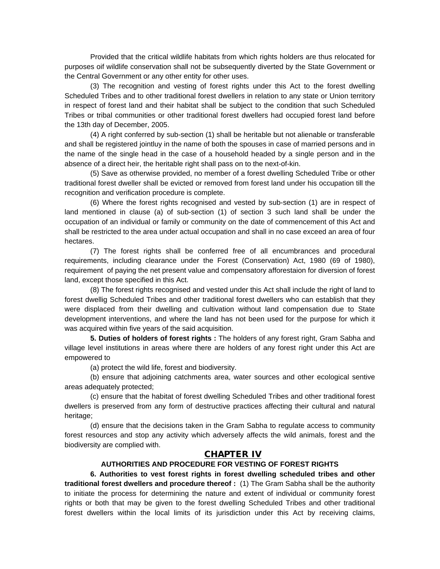Provided that the critical wildlife habitats from which rights holders are thus relocated for purposes oif wildlife conservation shall not be subsequently diverted by the State Government or the Central Government or any other entity for other uses.

 (3) The recognition and vesting of forest rights under this Act to the forest dwelling Scheduled Tribes and to other traditional forest dwellers in relation to any state or Union territory in respect of forest land and their habitat shall be subject to the condition that such Scheduled Tribes or tribal communities or other traditional forest dwellers had occupied forest land before the 13th day of December, 2005.

 (4) A right conferred by sub-section (1) shall be heritable but not alienable or transferable and shall be registered jointluy in the name of both the spouses in case of married persons and in the name of the single head in the case of a household headed by a single person and in the absence of a direct heir, the heritable right shall pass on to the next-of-kin.

 (5) Save as otherwise provided, no member of a forest dwelling Scheduled Tribe or other traditional forest dweller shall be evicted or removed from forest land under his occupation till the recognition and verification procedure is complete.

 (6) Where the forest rights recognised and vested by sub-section (1) are in respect of land mentioned in clause (a) of sub-section (1) of section 3 such land shall be under the occupation of an individual or family or community on the date of commencement of this Act and shall be restricted to the area under actual occupation and shall in no case exceed an area of four hectares.

 (7) The forest rights shall be conferred free of all encumbrances and procedural requirements, including clearance under the Forest (Conservation) Act, 1980 (69 of 1980), requirement of paying the net present value and compensatory afforestaion for diversion of forest land, except those specified in this Act.

 (8) The forest rights recognised and vested under this Act shall include the right of land to forest dwellig Scheduled Tribes and other traditional forest dwellers who can establish that they were displaced from their dwelling and cultivation without land compensation due to State development interventions, and where the land has not been used for the purpose for which it was acquired within five years of the said acquisition.

**5. Duties of holders of forest rights :** The holders of any forest right, Gram Sabha and village level institutions in areas where there are holders of any forest right under this Act are empowered to

(a) protect the wild life, forest and biodiversity.

 (b) ensure that adjoining catchments area, water sources and other ecological sentive areas adequately protected;

 (c) ensure that the habitat of forest dwelling Scheduled Tribes and other traditional forest dwellers is preserved from any form of destructive practices affecting their cultural and natural heritage;

 (d) ensure that the decisions taken in the Gram Sabha to regulate access to community forest resources and stop any activity which adversely affects the wild animals, forest and the biodiversity are complied with.

#### **CHAPTER IV**

## **AUTHORITIES AND PROCEDURE FOR VESTING OF FOREST RIGHTS**

 **6. Authorities to vest forest rights in forest dwelling scheduled tribes and other traditional forest dwellers and procedure thereof :** (1) The Gram Sabha shall be the authority to initiate the process for determining the nature and extent of individual or community forest rights or both that may be given to the forest dwelling Scheduled Tribes and other traditional forest dwellers within the local limits of its jurisdiction under this Act by receiving claims,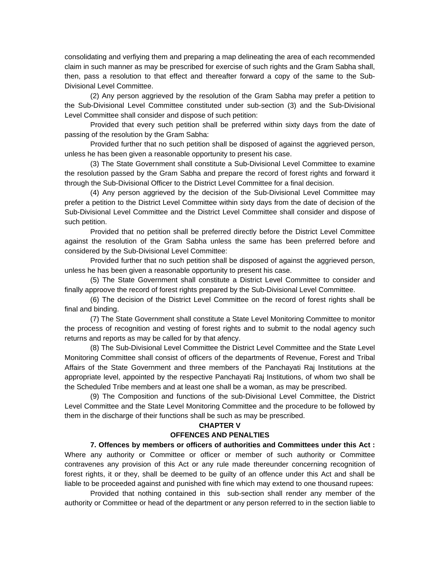consolidating and verfiying them and preparing a map delineating the area of each recommended claim in such manner as may be prescribed for exercise of such rights and the Gram Sabha shall, then, pass a resolution to that effect and thereafter forward a copy of the same to the Sub-Divisional Level Committee.

 (2) Any person aggrieved by the resolution of the Gram Sabha may prefer a petition to the Sub-Divisional Level Committee constituted under sub-section (3) and the Sub-Divisional Level Committee shall consider and dispose of such petition:

 Provided that every such petition shall be preferred within sixty days from the date of passing of the resolution by the Gram Sabha:

 Provided further that no such petition shall be disposed of against the aggrieved person, unless he has been given a reasonable opportunity to present his case.

 (3) The State Government shall constitute a Sub-Divisional Level Committee to examine the resolution passed by the Gram Sabha and prepare the record of forest rights and forward it through the Sub-Divisional Officer to the District Level Committee for a final decision.

 (4) Any person aggrieved by the decision of the Sub-Divisional Level Committee may prefer a petition to the District Level Committee within sixty days from the date of decision of the Sub-Divisional Level Committee and the District Level Committee shall consider and dispose of such petition.

 Provided that no petition shall be preferred directly before the District Level Committee against the resolution of the Gram Sabha unless the same has been preferred before and considered by the Sub-Divisional Level Committee:

 Provided further that no such petition shall be disposed of against the aggrieved person, unless he has been given a reasonable opportunity to present his case.

 (5) The State Government shall constitute a District Level Committee to consider and finally approove the record of forest rights prepared by the Sub-Divisional Level Committee.

 (6) The decision of the District Level Committee on the record of forest rights shall be final and binding.

 (7) The State Government shall constitute a State Level Monitoring Committee to monitor the process of recognition and vesting of forest rights and to submit to the nodal agency such returns and reports as may be called for by that afency.

 (8) The Sub-Divisional Level Committee the District Level Committee and the State Level Monitoring Committee shall consist of officers of the departments of Revenue, Forest and Tribal Affairs of the State Government and three members of the Panchayati Raj Institutions at the appropriate level, appointed by the respective Panchayati Raj Institutions, of whom two shall be the Scheduled Tribe members and at least one shall be a woman, as may be prescribed.

 (9) The Composition and functions of the sub-Divisional Level Committee, the District Level Committee and the State Level Monitoring Committee and the procedure to be followed by them in the discharge of their functions shall be such as may be prescribed.

#### **CHAPTER V**

#### **OFFENCES AND PENALTIES**

 **7. Offences by members or officers of authorities and Committees under this Act :**  Where any authority or Committee or officer or member of such authority or Committee contravenes any provision of this Act or any rule made thereunder concerning recognition of forest rights, it or they, shall be deemed to be guilty of an offence under this Act and shall be liable to be proceeded against and punished with fine which may extend to one thousand rupees:

 Provided that nothing contained in this sub-section shall render any member of the authority or Committee or head of the department or any person referred to in the section liable to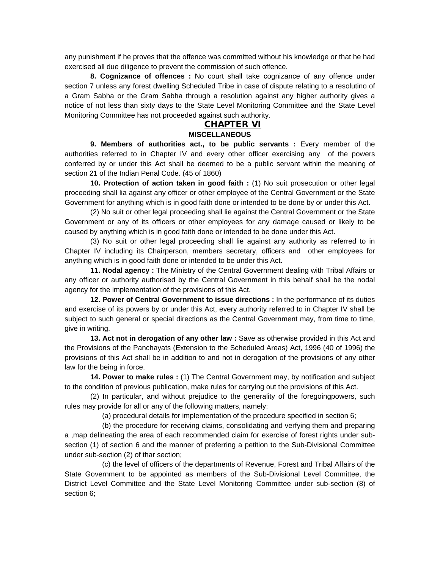any punishment if he proves that the offence was committed without his knowledge or that he had exercised all due diligence to prevent the commission of such offence.

**8. Cognizance of offences :** No court shall take cognizance of any offence under section 7 unless any forest dwelling Scheduled Tribe in case of dispute relating to a resolutino of a Gram Sabha or the Gram Sabha through a resolution against any higher authority gives a notice of not less than sixty days to the State Level Monitoring Committee and the State Level Monitoring Committee has not proceeded against such authority.

#### **CHAPTER VI MISCELLANEOUS**

 **9. Members of authorities act., to be public servants :** Every member of the authorities referred to in Chapter IV and every other officer exercising any of the powers conferred by or under this Act shall be deemed to be a public servant within the meaning of section 21 of the Indian Penal Code. (45 of 1860)

**10. Protection of action taken in good faith :** (1) No suit prosecution or other legal proceeding shall lia against any officer or other employee of the Central Government or the State Government for anything which is in good faith done or intended to be done by or under this Act.

 (2) No suit or other legal proceeding shall lie against the Central Government or the State Government or any of its officers or other employees for any damage caused or likely to be caused by anything which is in good faith done or intended to be done under this Act.

 (3) No suit or other legal proceeding shall lie against any authority as referred to in Chapter IV including its Chairperson, members secretary, officers and other employees for anything which is in good faith done or intended to be under this Act.

**11. Nodal agency :** The Ministry of the Central Government dealing with Tribal Affairs or any officer or authority authorised by the Central Government in this behalf shall be the nodal agency for the implementation of the provisions of this Act.

**12. Power of Central Government to issue directions :** In the performance of its duties and exercise of its powers by or under this Act, every authority referred to in Chapter IV shall be subject to such general or special directions as the Central Government may, from time to time, give in writing.

**13. Act not in derogation of any other law :** Save as otherwise provided in this Act and the Provisions of the Panchayats (Extension to the Scheduled Areas) Act, 1996 (40 of 1996) the provisions of this Act shall be in addition to and not in derogation of the provisions of any other law for the being in force.

**14. Power to make rules :** (1) The Central Government may, by notification and subject to the condition of previous publication, make rules for carrying out the provisions of this Act.

 (2) In particular, and without prejudice to the generality of the foregoingpowers, such rules may provide for all or any of the following matters, namely:

(a) procedural details for implementation of the procedure specified in section 6;

 (b) the procedure for receiving claims, consolidating and verfying them and preparing a ,map delineating the area of each recommended claim for exercise of forest rights under subsection (1) of section 6 and the manner of preferring a petition to the Sub-Divisional Committee under sub-section (2) of thar section;

 (c) the level of officers of the departments of Revenue, Forest and Tribal Affairs of the State Government to be appointed as members of the Sub-Divisional Level Committee, the District Level Committee and the State Level Monitoring Committee under sub-section (8) of section 6;